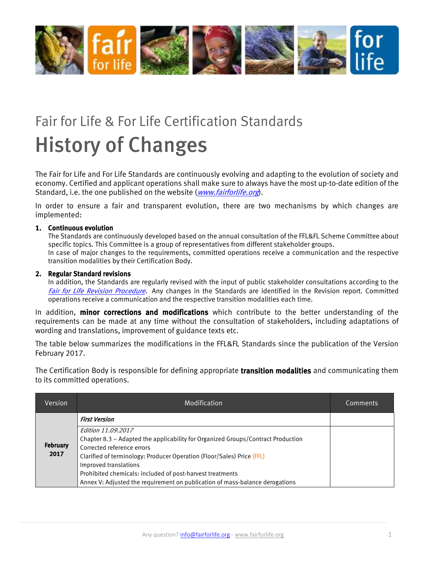

## Fair for Life & For Life Certification Standards History of Changes

The Fair for Life and For Life Standards are continuously evolving and adapting to the evolution of society and economy. Certified and applicant operations shall make sure to always have the most up-to-date edition of the Standard, i.e. the one published on the website (*[www.fairforlife.org](http://www.fairforlife.org/)*).

In order to ensure a fair and transparent evolution, there are two mechanisms by which changes are implemented:

## 1. Continuous evolution

The Standards are continuously developed based on the annual consultation of the FFL&FL Scheme Committee about specific topics. This Committee is a group of representatives from different stakeholder groups.

In case of major changes to the requirements, committed operations receive a communication and the respective transition modalities by their Certification Body.

## 2. Regular Standard revisions

In addition, the Standards are regularly revised with the input of public stakeholder consultations according to the [Fair for Life Revision Procedure](http://www.fairforlife.org/client/fairforlife/file/Revision/FFL_procedure_for_scheme_revision_EN_V2.pdf). Any changes in the Standards are identified in the Revision report. Committed operations receive a communication and the respective transition modalities each time.

In addition, **minor corrections and modifications** which contribute to the better understanding of the requirements can be made at any time without the consultation of stakeholders, including adaptations of wording and translations, improvement of guidance texts etc.

The table below summarizes the modifications in the FFL&FL Standards since the publication of the Version February 2017.

The Certification Body is responsible for defining appropriate **transition modalities** and communicating them to its committed operations.

| Version                 | Modification                                                                                                                                                                                                                                                                                         | Comments |
|-------------------------|------------------------------------------------------------------------------------------------------------------------------------------------------------------------------------------------------------------------------------------------------------------------------------------------------|----------|
|                         | <b>First Version</b>                                                                                                                                                                                                                                                                                 |          |
| <b>February</b><br>2017 | Edition 11.09.2017<br>Chapter 8.3 - Adapted the applicability for Organized Groups/Contract Production<br>Corrected reference errors<br>Clarified of terminology: Producer Operation (Floor/Sales) Price (FFL)<br>Improved translations<br>Prohibited chemicals: included of post-harvest treatments |          |
|                         | Annex V: Adjusted the requirement on publication of mass-balance derogations                                                                                                                                                                                                                         |          |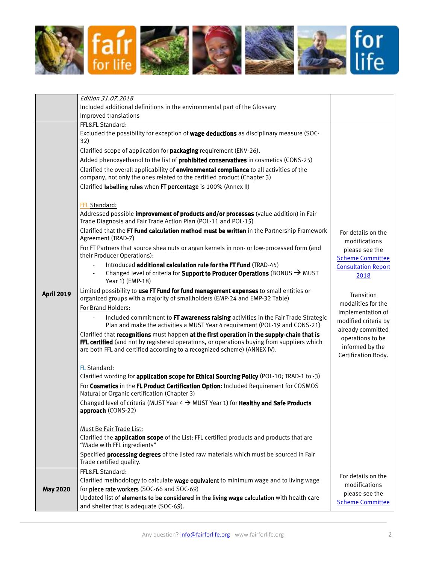

|                   | Edition 31.07.2018                                                                                                                                                                       |                                                               |
|-------------------|------------------------------------------------------------------------------------------------------------------------------------------------------------------------------------------|---------------------------------------------------------------|
|                   | Included additional definitions in the environmental part of the Glossary                                                                                                                |                                                               |
|                   | Improved translations                                                                                                                                                                    |                                                               |
|                   | FFL&FL Standard:                                                                                                                                                                         |                                                               |
|                   | Excluded the possibility for exception of <b>wage deductions</b> as disciplinary measure (SOC-<br>32)                                                                                    |                                                               |
|                   | Clarified scope of application for <b>packaging</b> requirement (ENV-26).                                                                                                                |                                                               |
|                   | Added phenoxyethanol to the list of <b>prohibited conservatives</b> in cosmetics (CONS-25)                                                                                               |                                                               |
|                   | Clarified the overall applicability of environmental compliance to all activities of the<br>company, not only the ones related to the certified product (Chapter 3)                      |                                                               |
|                   | Clarified labelling rules when FT percentage is 100% (Annex II)                                                                                                                          |                                                               |
|                   | FFL Standard:                                                                                                                                                                            |                                                               |
|                   | Addressed possible <i>improvement of products and/or processes</i> (value addition) in Fair<br>Trade Diagnosis and Fair Trade Action Plan (POL-11 and POL-15)                            |                                                               |
|                   | Clarified that the FT Fund calculation method must be written in the Partnership Framework<br>Agreement (TRAD-7)                                                                         | For details on the<br>modifications                           |
|                   | For FT Partners that source shea nuts or argan kernels in non- or low-processed form (and<br>their Producer Operations):                                                                 | please see the<br><b>Scheme Committee</b>                     |
|                   | Introduced additional calculation rule for the FT Fund (TRAD-45)                                                                                                                         | <b>Consultation Report</b>                                    |
|                   | Changed level of criteria for <b>Support to Producer Operations</b> (BONUS $\rightarrow$ MUST<br>Year 1) (EMP-18)                                                                        | 2018                                                          |
| <b>April 2019</b> | Limited possibility to use FT Fund for fund management expenses to small entities or<br>organized groups with a majority of smallholders (EMP-24 and EMP-32 Table)                       | Transition<br>modalities for the                              |
|                   | For Brand Holders:                                                                                                                                                                       | implementation of                                             |
|                   | Included commitment to FT awareness raising activities in the Fair Trade Strategic<br>Plan and make the activities a MUST Year 4 requirement (POL-19 and CONS-21)                        | modified criteria by<br>already committed<br>operations to be |
|                   | Clarified that recognitions must happen at the first operation in the supply-chain that is<br>FFL certified (and not by registered operations, or operations buying from suppliers which |                                                               |
|                   | are both FFL and certified according to a recognized scheme) (ANNEX IV).                                                                                                                 | informed by the<br>Certification Body.                        |
|                   | FL Standard:                                                                                                                                                                             |                                                               |
|                   | Clarified wording for application scope for Ethical Sourcing Policy (POL-10; TRAD-1 to -3)                                                                                               |                                                               |
|                   | For Cosmetics in the FL Product Certification Option: Included Requirement for COSMOS<br>Natural or Organic certification (Chapter 3)                                                    |                                                               |
|                   | Changed level of criteria (MUST Year $4 \rightarrow$ MUST Year 1) for <b>Healthy and Safe Products</b>                                                                                   |                                                               |
|                   | approach (CONS-22)                                                                                                                                                                       |                                                               |
|                   | Must Be Fair Trade List:                                                                                                                                                                 |                                                               |
|                   | Clarified the <b>application scope</b> of the List: FFL certified products and products that are                                                                                         |                                                               |
|                   | "Made with FFL ingredients"                                                                                                                                                              |                                                               |
|                   | Specified processing degrees of the listed raw materials which must be sourced in Fair<br>Trade certified quality.                                                                       |                                                               |
|                   | FFL&FL Standard:                                                                                                                                                                         |                                                               |
|                   | Clarified methodology to calculate wage equivalent to minimum wage and to living wage                                                                                                    | For details on the                                            |
| <b>May 2020</b>   | for piece rate workers (SOC-66 and SOC-69)                                                                                                                                               | modifications                                                 |
|                   | Updated list of elements to be considered in the living wage calculation with health care                                                                                                | please see the                                                |
|                   | and shelter that is adequate (SOC-69).                                                                                                                                                   | <b>Scheme Committee</b>                                       |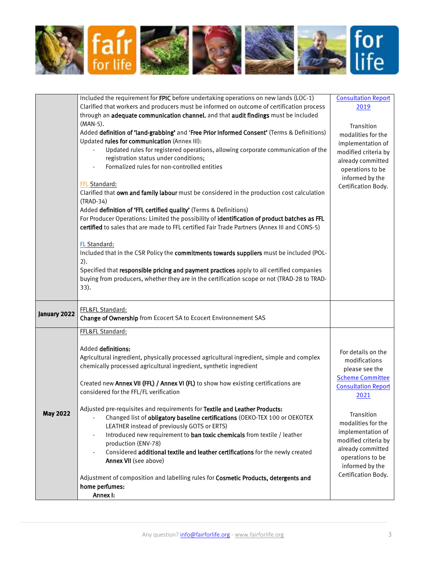

|                 | Included the requirement for FPIC before undertaking operations on new lands (LOC-1)<br>Clarified that workers and producers must be informed on outcome of certification process<br>through an adequate communication channel, and that audit findings must be included                                                                                                                                               | <b>Consultation Report</b><br>2019                                                                                     |
|-----------------|------------------------------------------------------------------------------------------------------------------------------------------------------------------------------------------------------------------------------------------------------------------------------------------------------------------------------------------------------------------------------------------------------------------------|------------------------------------------------------------------------------------------------------------------------|
|                 | (MAN-5).<br>Added definition of 'land-grabbing' and 'Free Prior Informed Consent' (Terms & Definitions)<br>Updated rules for communication (Annex III):                                                                                                                                                                                                                                                                | Transition<br>modalities for the                                                                                       |
|                 | Updated rules for registered operations, allowing corporate communication of the<br>registration status under conditions;<br>Formalized rules for non-controlled entities                                                                                                                                                                                                                                              | implementation of<br>modified criteria by<br>already committed<br>operations to be<br>informed by the                  |
|                 | FFL Standard:<br>Clarified that own and family labour must be considered in the production cost calculation<br>(TRAD-34)<br>Added definition of 'FFL certified quality' (Terms & Definitions)                                                                                                                                                                                                                          | Certification Body.                                                                                                    |
|                 | For Producer Operations: Limited the possibility of identification of product batches as FFL<br>certified to sales that are made to FFL certified Fair Trade Partners (Annex III and CONS-5)                                                                                                                                                                                                                           |                                                                                                                        |
|                 | FL Standard:<br>Included that in the CSR Policy the commitments towards suppliers must be included (POL-<br>2).                                                                                                                                                                                                                                                                                                        |                                                                                                                        |
|                 | Specified that responsible pricing and payment practices apply to all certified companies<br>buying from producers, whether they are in the certification scope or not (TRAD-28 to TRAD-<br>33).                                                                                                                                                                                                                       |                                                                                                                        |
| January 2022    | FFL&FL Standard:<br>Change of Ownership from Ecocert SA to Ecocert Environnement SAS                                                                                                                                                                                                                                                                                                                                   |                                                                                                                        |
|                 | FFL&FL Standard:                                                                                                                                                                                                                                                                                                                                                                                                       |                                                                                                                        |
|                 | Added definitions:<br>Agricultural ingredient, physically processed agricultural ingredient, simple and complex<br>chemically processed agricultural ingredient, synthetic ingredient<br>Created new Annex VII (FFL) / Annex VI (FL) to show how existing certifications are<br>considered for the FFL/FL verification                                                                                                 | For details on the<br>modifications<br>please see the<br><b>Scheme Committee</b><br><b>Consultation Report</b><br>2021 |
| <b>May 2022</b> | Adjusted pre-requisites and requirements for Textile and Leather Products:<br>Changed list of obligatory baseline certifications (OEKO-TEX 100 or OEKOTEX<br>LEATHER instead of previously GOTS or ERTS)<br>Introduced new requirement to ban toxic chemicals from textile / leather<br>production (ENV-78)<br>Considered additional textile and leather certifications for the newly created<br>Annex VII (see above) | Transition<br>modalities for the<br>implementation of<br>modified criteria by<br>already committed<br>operations to be |
|                 | Adjustment of composition and labelling rules for Cosmetic Products, detergents and<br>home perfumes:<br>Annex I:                                                                                                                                                                                                                                                                                                      | informed by the<br>Certification Body.                                                                                 |